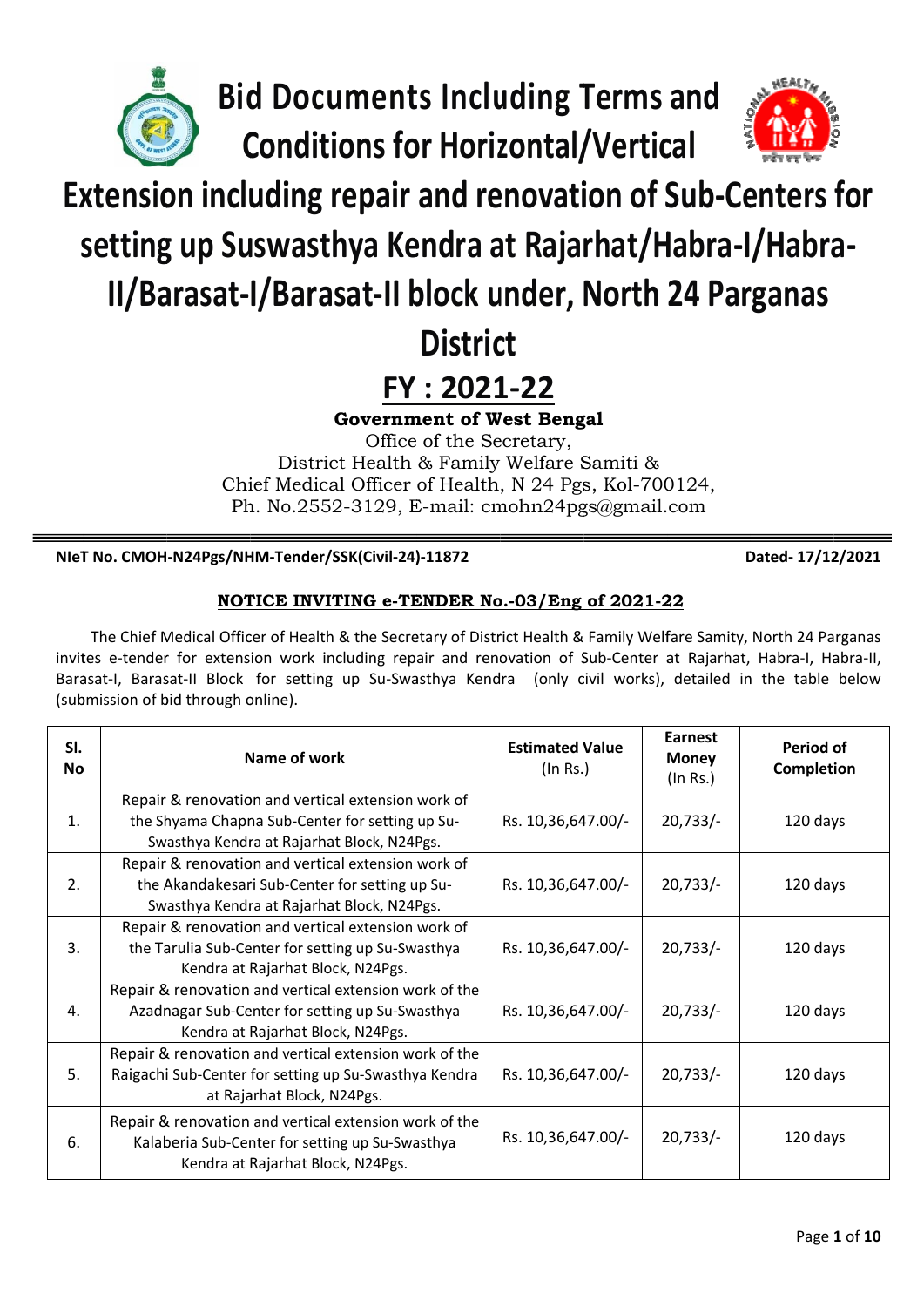

**Bid Documents Including Terms and Conditions for Horizontal/Vertical** 



# **Extension including repair and renovation of Sub-Centers for**

setting up Suswasthya Kendra at Rajarhat/Habra-I/Habra-

## II/Barasat-I/Barasat-II block under, North 24 Parganas

### **District**

### FY: 2021-22

**Government of West Bengal** 

Office of the Secretary, District Health & Family Welfare Samiti & Chief Medical Officer of Health, N 24 Pgs, Kol-700124, Ph. No.2552-3129, E-mail: cmohn24pgs@gmail.com

NIeT No. CMOH-N24Pgs/NHM-Tender/SSK(Civil-24)-11872

Dated-17/12/2021

### NOTICE INVITING e-TENDER No.-03/Eng of 2021-22

The Chief Medical Officer of Health & the Secretary of District Health & Family Welfare Samity, North 24 Parganas invites e-tender for extension work including repair and renovation of Sub-Center at Rajarhat, Habra-I, Habra-II, Barasat-I, Barasat-II Block for setting up Su-Swasthya Kendra (only civil works), detailed in the table below (submission of bid through online).

| SI.<br>Nο | Name of work                                                                                                                                       | <b>Estimated Value</b><br>(In Rs.) | Earnest<br><b>Money</b><br>(In Rs.) | Period of<br><b>Completion</b> |
|-----------|----------------------------------------------------------------------------------------------------------------------------------------------------|------------------------------------|-------------------------------------|--------------------------------|
| 1.        | Repair & renovation and vertical extension work of<br>the Shyama Chapna Sub-Center for setting up Su-                                              | Rs. 10,36,647.00/-                 | $20,733/-$                          | 120 days                       |
|           | Swasthya Kendra at Rajarhat Block, N24Pgs.                                                                                                         |                                    |                                     |                                |
| 2.        | Repair & renovation and vertical extension work of<br>the Akandakesari Sub-Center for setting up Su-<br>Swasthya Kendra at Rajarhat Block, N24Pgs. | Rs. 10,36,647.00/-                 | $20,733/-$                          | 120 days                       |
| 3.        | Repair & renovation and vertical extension work of<br>the Tarulia Sub-Center for setting up Su-Swasthya<br>Kendra at Rajarhat Block, N24Pgs.       | Rs. 10,36,647.00/-                 | $20,733/-$                          | 120 days                       |
| 4.        | Repair & renovation and vertical extension work of the<br>Azadnagar Sub-Center for setting up Su-Swasthya<br>Kendra at Rajarhat Block, N24Pgs.     | Rs. 10,36,647.00/-                 | $20,733/-$                          | 120 days                       |
| 5.        | Repair & renovation and vertical extension work of the<br>Raigachi Sub-Center for setting up Su-Swasthya Kendra<br>at Rajarhat Block, N24Pgs.      | Rs. 10,36,647.00/-                 | $20,733/-$                          | 120 days                       |
| 6.        | Repair & renovation and vertical extension work of the<br>Kalaberia Sub-Center for setting up Su-Swasthya<br>Kendra at Rajarhat Block, N24Pgs.     | Rs. 10,36,647.00/-                 | $20,733/-$                          | 120 days                       |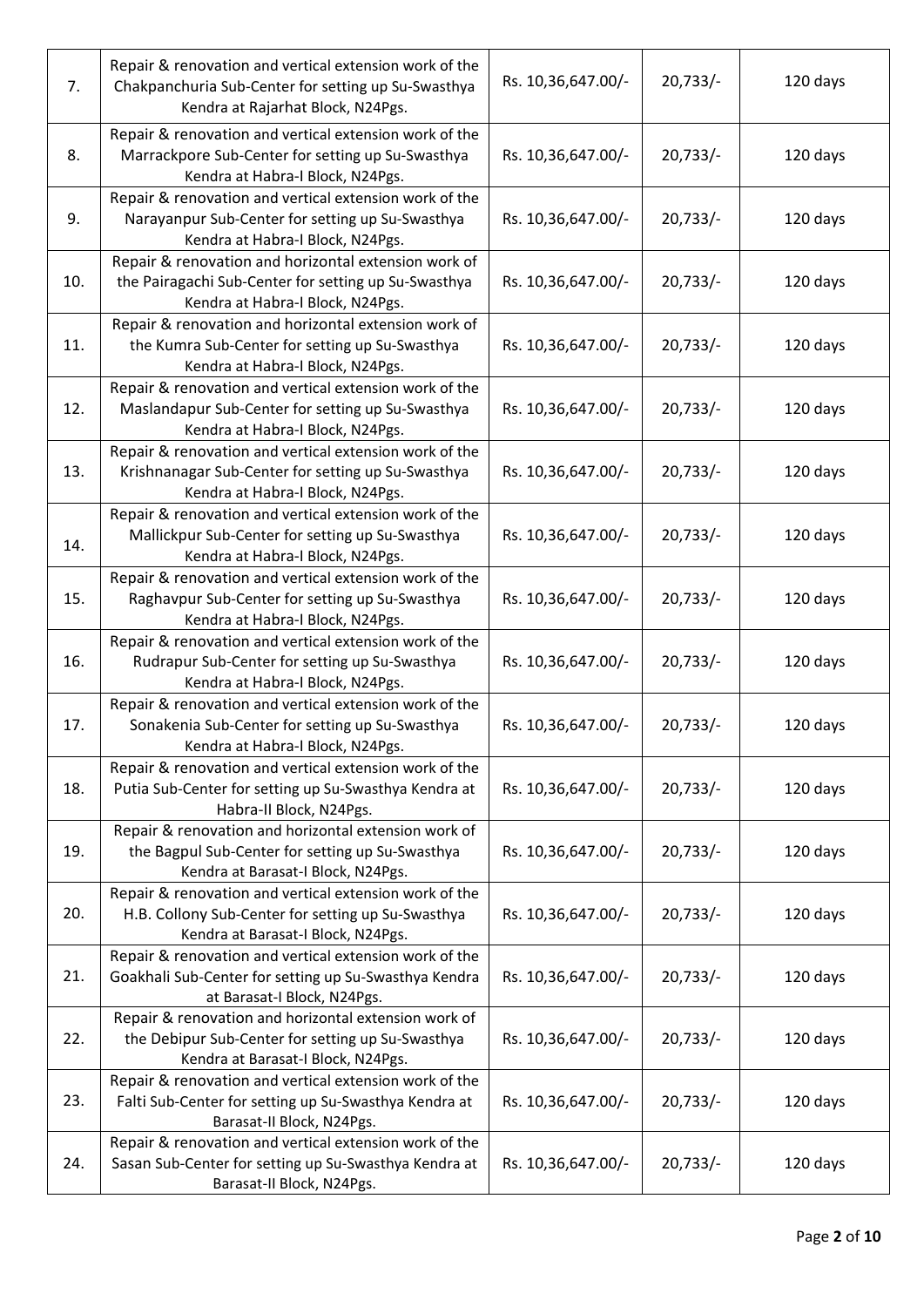| 7.  | Repair & renovation and vertical extension work of the<br>Chakpanchuria Sub-Center for setting up Su-Swasthya<br>Kendra at Rajarhat Block, N24Pgs. | Rs. 10,36,647.00/- | $20,733/-$ | 120 days |
|-----|----------------------------------------------------------------------------------------------------------------------------------------------------|--------------------|------------|----------|
| 8.  | Repair & renovation and vertical extension work of the<br>Marrackpore Sub-Center for setting up Su-Swasthya<br>Kendra at Habra-I Block, N24Pgs.    | Rs. 10,36,647.00/- | $20,733/-$ | 120 days |
| 9.  | Repair & renovation and vertical extension work of the<br>Narayanpur Sub-Center for setting up Su-Swasthya<br>Kendra at Habra-I Block, N24Pgs.     | Rs. 10,36,647.00/- | $20,733/-$ | 120 days |
| 10. | Repair & renovation and horizontal extension work of<br>the Pairagachi Sub-Center for setting up Su-Swasthya<br>Kendra at Habra-I Block, N24Pgs.   | Rs. 10,36,647.00/- | $20,733/-$ | 120 days |
| 11. | Repair & renovation and horizontal extension work of<br>the Kumra Sub-Center for setting up Su-Swasthya<br>Kendra at Habra-I Block, N24Pgs.        | Rs. 10,36,647.00/- | $20,733/-$ | 120 days |
| 12. | Repair & renovation and vertical extension work of the<br>Maslandapur Sub-Center for setting up Su-Swasthya<br>Kendra at Habra-I Block, N24Pgs.    | Rs. 10,36,647.00/- | $20,733/-$ | 120 days |
| 13. | Repair & renovation and vertical extension work of the<br>Krishnanagar Sub-Center for setting up Su-Swasthya<br>Kendra at Habra-I Block, N24Pgs.   | Rs. 10,36,647.00/- | $20,733/-$ | 120 days |
| 14. | Repair & renovation and vertical extension work of the<br>Mallickpur Sub-Center for setting up Su-Swasthya<br>Kendra at Habra-I Block, N24Pgs.     | Rs. 10,36,647.00/- | $20,733/-$ | 120 days |
| 15. | Repair & renovation and vertical extension work of the<br>Raghavpur Sub-Center for setting up Su-Swasthya<br>Kendra at Habra-I Block, N24Pgs.      | Rs. 10,36,647.00/- | $20,733/-$ | 120 days |
| 16. | Repair & renovation and vertical extension work of the<br>Rudrapur Sub-Center for setting up Su-Swasthya<br>Kendra at Habra-I Block, N24Pgs.       | Rs. 10,36,647.00/- | $20,733/-$ | 120 days |
| 17. | Repair & renovation and vertical extension work of the<br>Sonakenia Sub-Center for setting up Su-Swasthya<br>Kendra at Habra-I Block, N24Pgs.      | Rs. 10,36,647.00/- | $20,733/-$ | 120 days |
| 18. | Repair & renovation and vertical extension work of the<br>Putia Sub-Center for setting up Su-Swasthya Kendra at<br>Habra-II Block, N24Pgs.         | Rs. 10,36,647.00/- | $20,733/-$ | 120 days |
| 19. | Repair & renovation and horizontal extension work of<br>the Bagpul Sub-Center for setting up Su-Swasthya<br>Kendra at Barasat-I Block, N24Pgs.     | Rs. 10,36,647.00/- | $20,733/-$ | 120 days |
| 20. | Repair & renovation and vertical extension work of the<br>H.B. Collony Sub-Center for setting up Su-Swasthya<br>Kendra at Barasat-I Block, N24Pgs. | Rs. 10,36,647.00/- | $20,733/-$ | 120 days |
| 21. | Repair & renovation and vertical extension work of the<br>Goakhali Sub-Center for setting up Su-Swasthya Kendra<br>at Barasat-I Block, N24Pgs.     | Rs. 10,36,647.00/- | $20,733/-$ | 120 days |
| 22. | Repair & renovation and horizontal extension work of<br>the Debipur Sub-Center for setting up Su-Swasthya<br>Kendra at Barasat-I Block, N24Pgs.    | Rs. 10,36,647.00/- | $20,733/-$ | 120 days |
| 23. | Repair & renovation and vertical extension work of the<br>Falti Sub-Center for setting up Su-Swasthya Kendra at<br>Barasat-II Block, N24Pgs.       | Rs. 10,36,647.00/- | $20,733/-$ | 120 days |
| 24. | Repair & renovation and vertical extension work of the<br>Sasan Sub-Center for setting up Su-Swasthya Kendra at<br>Barasat-II Block, N24Pgs.       | Rs. 10,36,647.00/- | $20,733/-$ | 120 days |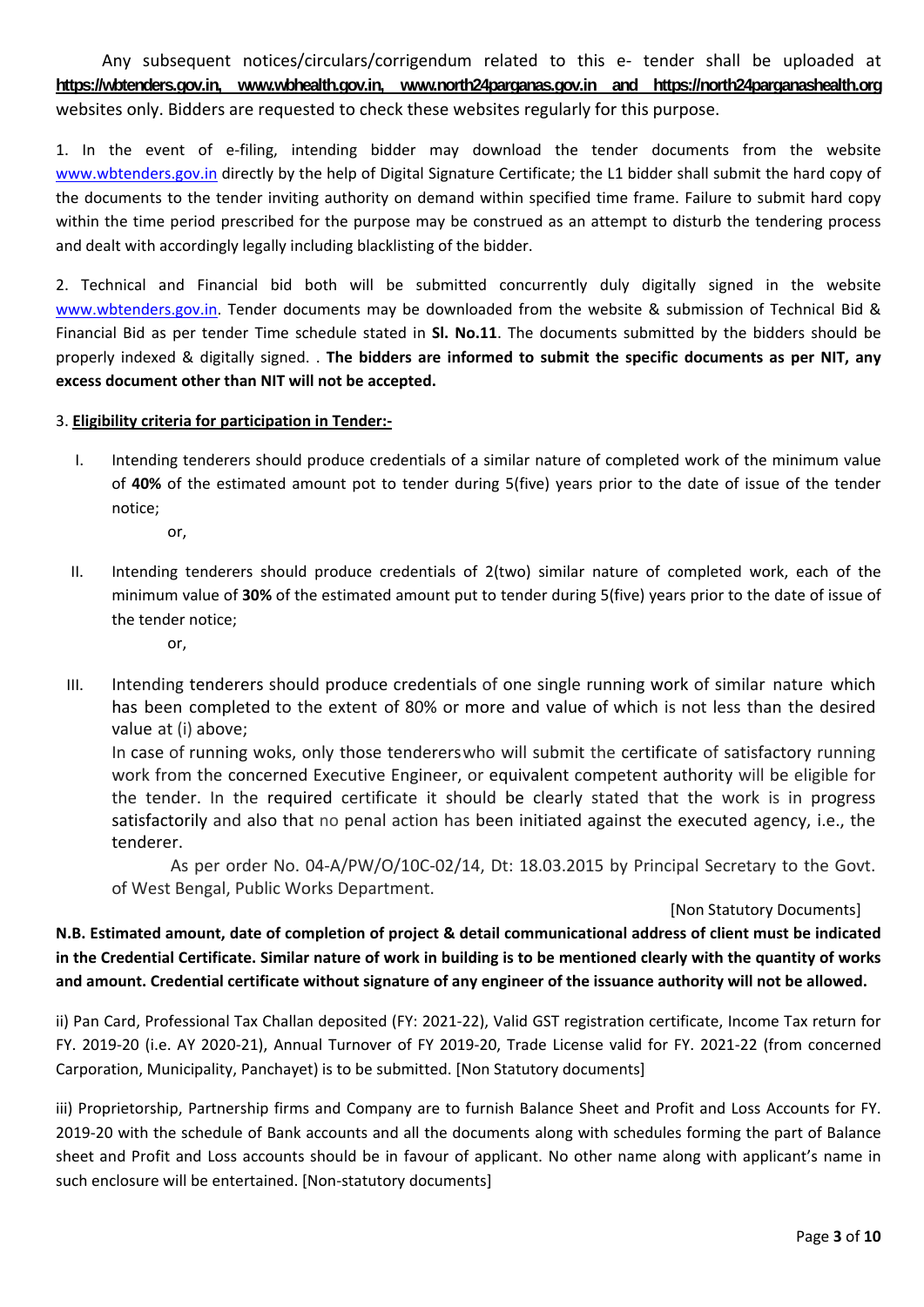Any subsequent notices/circulars/corrigendum related to this e‐ tender shall be uploaded at **https://wbtenders.gov.in, www.wbhealth.gov.in, www.north24parganas.gov.in and https://north24parganashealth.org** websites only. Bidders are requested to check these websites regularly for this purpose.

1. In the event of e-filing, intending bidder may download the tender documents from the website www.wbtenders.gov.in directly by the help of Digital Signature Certificate; the L1 bidder shall submit the hard copy of the documents to the tender inviting authority on demand within specified time frame. Failure to submit hard copy within the time period prescribed for the purpose may be construed as an attempt to disturb the tendering process and dealt with accordingly legally including blacklisting of the bidder.

2. Technical and Financial bid both will be submitted concurrently duly digitally signed in the website www.wbtenders.gov.in. Tender documents may be downloaded from the website & submission of Technical Bid & Financial Bid as per tender Time schedule stated in **Sl. No.11**. The documents submitted by the bidders should be properly indexed & digitally signed. . **The bidders are informed to submit the specific documents as per NIT, any excess document other than NIT will not be accepted.**

#### 3. **Eligibility criteria for participation in Tender:‐**

- I. Intending tenderers should produce credentials of a similar nature of completed work of the minimum value of **40%** of the estimated amount pot to tender during 5(five) years prior to the date of issue of the tender notice;
	- or,
- II. Intending tenderers should produce credentials of 2(two) similar nature of completed work, each of the minimum value of **30%** of the estimated amount put to tender during 5(five) years prior to the date of issue of the tender notice;
	- or,
- III. Intending tenderers should produce credentials of one single running work of similar nature which has been completed to the extent of 80% or more and value of which is not less than the desired value at (i) above;

In case of running woks, only those tendererswho will submit the certificate of satisfactory running work from the concerned Executive Engineer, or equivalent competent authority will be eligible for the tender. In the required certificate it should be clearly stated that the work is in progress satisfactorily and also that no penal action has been initiated against the executed agency, i.e., the tenderer.

As per order No. 04-A/PW/O/10C-02/14, Dt: 18.03.2015 by Principal Secretary to the Govt. of West Bengal, Public Works Department.

#### [Non Statutory Documents]

N.B. Estimated amount, date of completion of project & detail communicational address of client must be indicated in the Credential Certificate. Similar nature of work in building is to be mentioned clearly with the quantity of works and amount. Credential certificate without signature of any engineer of the issuance authority will not be allowed.

ii) Pan Card, Professional Tax Challan deposited (FY: 2021‐22), Valid GST registration certificate, Income Tax return for FY. 2019‐20 (i.e. AY 2020‐21), Annual Turnover of FY 2019‐20, Trade License valid for FY. 2021‐22 (from concerned Carporation, Municipality, Panchayet) is to be submitted. [Non Statutory documents]

iii) Proprietorship, Partnership firms and Company are to furnish Balance Sheet and Profit and Loss Accounts for FY. 2019‐20 with the schedule of Bank accounts and all the documents along with schedules forming the part of Balance sheet and Profit and Loss accounts should be in favour of applicant. No other name along with applicant's name in such enclosure will be entertained. [Non-statutory documents]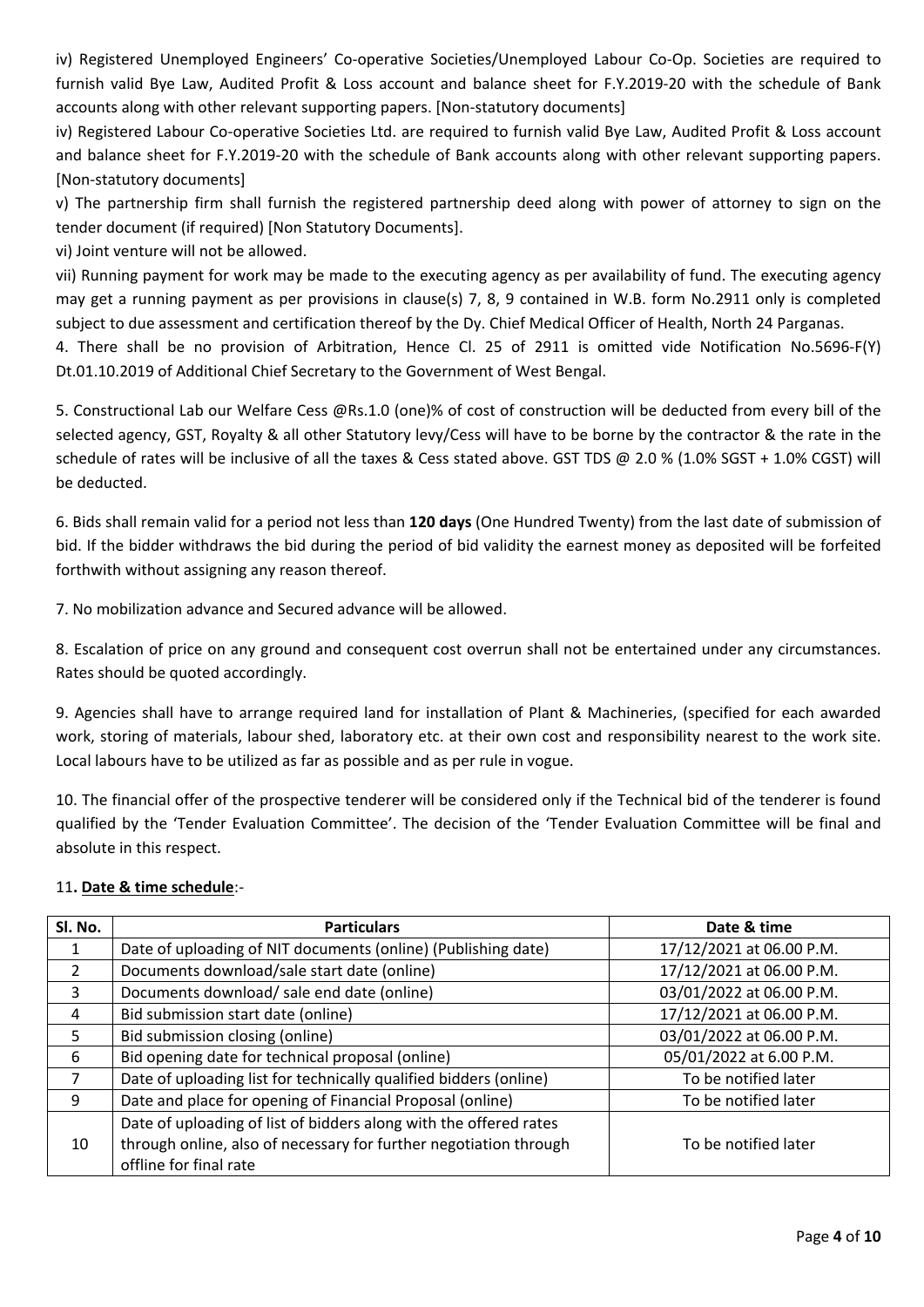iv) Registered Unemployed Engineers' Co‐operative Societies/Unemployed Labour Co‐Op. Societies are required to furnish valid Bye Law, Audited Profit & Loss account and balance sheet for F.Y.2019-20 with the schedule of Bank accounts along with other relevant supporting papers. [Non-statutory documents]

iv) Registered Labour Co‐operative Societies Ltd. are required to furnish valid Bye Law, Audited Profit & Loss account and balance sheet for F.Y.2019-20 with the schedule of Bank accounts along with other relevant supporting papers. [Non‐statutory documents]

v) The partnership firm shall furnish the registered partnership deed along with power of attorney to sign on the tender document (if required) [Non Statutory Documents].

vi) Joint venture will not be allowed.

vii) Running payment for work may be made to the executing agency as per availability of fund. The executing agency may get a running payment as per provisions in clause(s) 7, 8, 9 contained in W.B. form No.2911 only is completed subject to due assessment and certification thereof by the Dy. Chief Medical Officer of Health, North 24 Parganas.

4. There shall be no provision of Arbitration, Hence Cl. 25 of 2911 is omitted vide Notification No.5696‐F(Y) Dt.01.10.2019 of Additional Chief Secretary to the Government of West Bengal.

5. Constructional Lab our Welfare Cess @Rs.1.0 (one)% of cost of construction will be deducted from every bill of the selected agency, GST, Royalty & all other Statutory levy/Cess will have to be borne by the contractor & the rate in the schedule of rates will be inclusive of all the taxes & Cess stated above. GST TDS @ 2.0 % (1.0% SGST + 1.0% CGST) will be deducted.

6. Bids shall remain valid for a period not less than **120 days** (One Hundred Twenty) from the last date of submission of bid. If the bidder withdraws the bid during the period of bid validity the earnest money as deposited will be forfeited forthwith without assigning any reason thereof.

7. No mobilization advance and Secured advance will be allowed.

8. Escalation of price on any ground and consequent cost overrun shall not be entertained under any circumstances. Rates should be quoted accordingly.

9. Agencies shall have to arrange required land for installation of Plant & Machineries, (specified for each awarded work, storing of materials, labour shed, laboratory etc. at their own cost and responsibility nearest to the work site. Local labours have to be utilized as far as possible and as per rule in vogue.

10. The financial offer of the prospective tenderer will be considered only if the Technical bid of the tenderer is found qualified by the 'Tender Evaluation Committee'. The decision of the 'Tender Evaluation Committee will be final and absolute in this respect.

#### 11**. Date & time schedule**:‐

| Sl. No. | <b>Particulars</b>                                                | Date & time              |  |
|---------|-------------------------------------------------------------------|--------------------------|--|
|         | Date of uploading of NIT documents (online) (Publishing date)     | 17/12/2021 at 06.00 P.M. |  |
| 2       | Documents download/sale start date (online)                       | 17/12/2021 at 06.00 P.M. |  |
| 3       | Documents download/ sale end date (online)                        | 03/01/2022 at 06.00 P.M. |  |
| 4       | Bid submission start date (online)                                | 17/12/2021 at 06.00 P.M. |  |
| 5       | Bid submission closing (online)                                   | 03/01/2022 at 06.00 P.M. |  |
| 6       | Bid opening date for technical proposal (online)                  | 05/01/2022 at 6.00 P.M.  |  |
|         | Date of uploading list for technically qualified bidders (online) | To be notified later     |  |
| q       | Date and place for opening of Financial Proposal (online)         | To be notified later     |  |
|         | Date of uploading of list of bidders along with the offered rates |                          |  |
| 10      | through online, also of necessary for further negotiation through | To be notified later     |  |
|         | offline for final rate                                            |                          |  |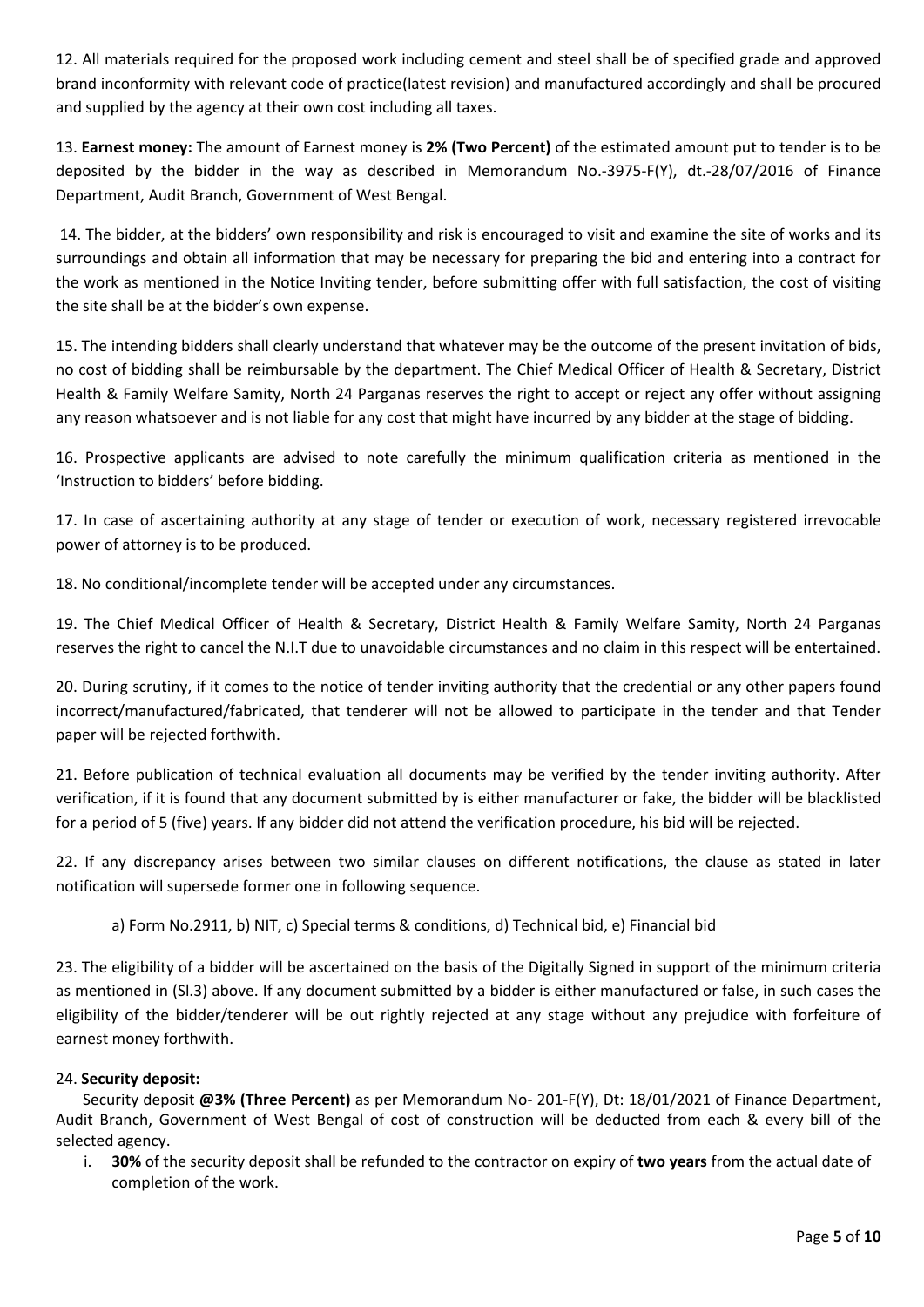12. All materials required for the proposed work including cement and steel shall be of specified grade and approved brand inconformity with relevant code of practice(latest revision) and manufactured accordingly and shall be procured and supplied by the agency at their own cost including all taxes.

13. **Earnest money:** The amount of Earnest money is **2% (Two Percent)** of the estimated amount put to tender is to be deposited by the bidder in the way as described in Memorandum No.‐3975‐F(Y), dt.‐28/07/2016 of Finance Department, Audit Branch, Government of West Bengal.

14. The bidder, at the bidders' own responsibility and risk is encouraged to visit and examine the site of works and its surroundings and obtain all information that may be necessary for preparing the bid and entering into a contract for the work as mentioned in the Notice Inviting tender, before submitting offer with full satisfaction, the cost of visiting the site shall be at the bidder's own expense.

15. The intending bidders shall clearly understand that whatever may be the outcome of the present invitation of bids, no cost of bidding shall be reimbursable by the department. The Chief Medical Officer of Health & Secretary, District Health & Family Welfare Samity, North 24 Parganas reserves the right to accept or reject any offer without assigning any reason whatsoever and is not liable for any cost that might have incurred by any bidder at the stage of bidding.

16. Prospective applicants are advised to note carefully the minimum qualification criteria as mentioned in the 'Instruction to bidders' before bidding.

17. In case of ascertaining authority at any stage of tender or execution of work, necessary registered irrevocable power of attorney is to be produced.

18. No conditional/incomplete tender will be accepted under any circumstances.

19. The Chief Medical Officer of Health & Secretary, District Health & Family Welfare Samity, North 24 Parganas reserves the right to cancel the N.I.T due to unavoidable circumstances and no claim in this respect will be entertained.

20. During scrutiny, if it comes to the notice of tender inviting authority that the credential or any other papers found incorrect/manufactured/fabricated, that tenderer will not be allowed to participate in the tender and that Tender paper will be rejected forthwith.

21. Before publication of technical evaluation all documents may be verified by the tender inviting authority. After verification, if it is found that any document submitted by is either manufacturer or fake, the bidder will be blacklisted for a period of 5 (five) years. If any bidder did not attend the verification procedure, his bid will be rejected.

22. If any discrepancy arises between two similar clauses on different notifications, the clause as stated in later notification will supersede former one in following sequence.

a) Form No.2911, b) NIT, c) Special terms & conditions, d) Technical bid, e) Financial bid

23. The eligibility of a bidder will be ascertained on the basis of the Digitally Signed in support of the minimum criteria as mentioned in (Sl.3) above. If any document submitted by a bidder is either manufactured or false, in such cases the eligibility of the bidder/tenderer will be out rightly rejected at any stage without any prejudice with forfeiture of earnest money forthwith.

#### 24. **Security deposit:**

 Security deposit **@3% (Three Percent)** as per Memorandum No‐ 201‐F(Y), Dt: 18/01/2021 of Finance Department, Audit Branch, Government of West Bengal of cost of construction will be deducted from each & every bill of the selected agency.

i. **30%** of the security deposit shall be refunded to the contractor on expiry of **two years** from the actual date of completion of the work.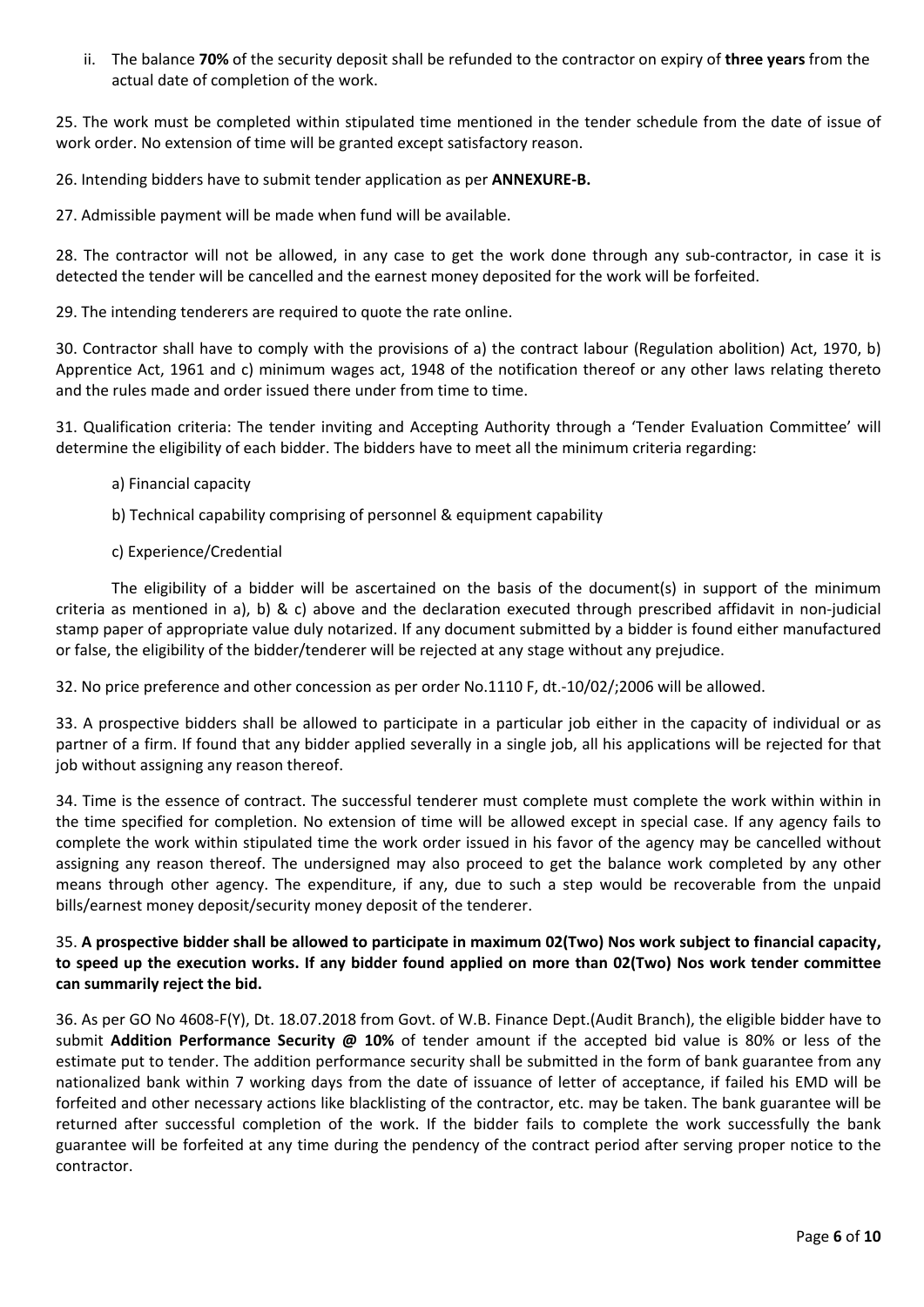ii. The balance **70%** of the security deposit shall be refunded to the contractor on expiry of **three years** from the actual date of completion of the work.

25. The work must be completed within stipulated time mentioned in the tender schedule from the date of issue of work order. No extension of time will be granted except satisfactory reason.

26. Intending bidders have to submit tender application as per **ANNEXURE‐B.**

27. Admissible payment will be made when fund will be available.

28. The contractor will not be allowed, in any case to get the work done through any sub-contractor, in case it is detected the tender will be cancelled and the earnest money deposited for the work will be forfeited.

29. The intending tenderers are required to quote the rate online.

30. Contractor shall have to comply with the provisions of a) the contract labour (Regulation abolition) Act, 1970, b) Apprentice Act, 1961 and c) minimum wages act, 1948 of the notification thereof or any other laws relating thereto and the rules made and order issued there under from time to time.

31. Qualification criteria: The tender inviting and Accepting Authority through a 'Tender Evaluation Committee' will determine the eligibility of each bidder. The bidders have to meet all the minimum criteria regarding:

- a) Financial capacity
- b) Technical capability comprising of personnel & equipment capability
- c) Experience/Credential

The eligibility of a bidder will be ascertained on the basis of the document(s) in support of the minimum criteria as mentioned in a), b) & c) above and the declaration executed through prescribed affidavit in non-judicial stamp paper of appropriate value duly notarized. If any document submitted by a bidder is found either manufactured or false, the eligibility of the bidder/tenderer will be rejected at any stage without any prejudice.

32. No price preference and other concession as per order No.1110 F, dt.‐10/02/;2006 will be allowed.

33. A prospective bidders shall be allowed to participate in a particular job either in the capacity of individual or as partner of a firm. If found that any bidder applied severally in a single job, all his applications will be rejected for that job without assigning any reason thereof.

34. Time is the essence of contract. The successful tenderer must complete must complete the work within within in the time specified for completion. No extension of time will be allowed except in special case. If any agency fails to complete the work within stipulated time the work order issued in his favor of the agency may be cancelled without assigning any reason thereof. The undersigned may also proceed to get the balance work completed by any other means through other agency. The expenditure, if any, due to such a step would be recoverable from the unpaid bills/earnest money deposit/security money deposit of the tenderer.

#### 35. A prospective bidder shall be allowed to participate in maximum 02(Two) Nos work subject to financial capacity, to speed up the execution works. If any bidder found applied on more than 02(Two) Nos work tender committee **can summarily reject the bid.**

36. As per GO No 4608‐F(Y), Dt. 18.07.2018 from Govt. of W.B. Finance Dept.(Audit Branch), the eligible bidder have to submit **Addition Performance Security @ 10%** of tender amount if the accepted bid value is 80% or less of the estimate put to tender. The addition performance security shall be submitted in the form of bank guarantee from any nationalized bank within 7 working days from the date of issuance of letter of acceptance, if failed his EMD will be forfeited and other necessary actions like blacklisting of the contractor, etc. may be taken. The bank guarantee will be returned after successful completion of the work. If the bidder fails to complete the work successfully the bank guarantee will be forfeited at any time during the pendency of the contract period after serving proper notice to the contractor.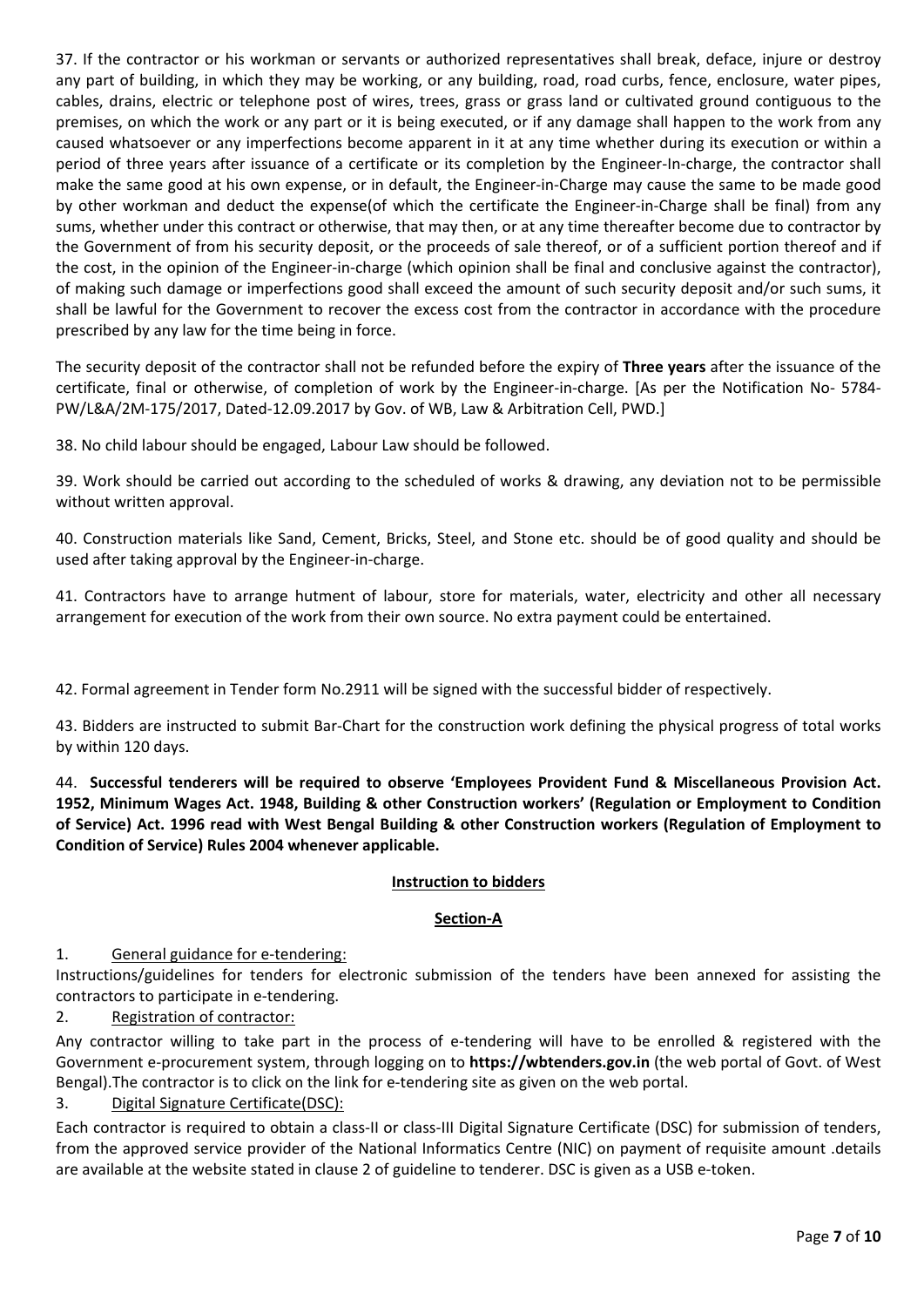37. If the contractor or his workman or servants or authorized representatives shall break, deface, injure or destroy any part of building, in which they may be working, or any building, road, road curbs, fence, enclosure, water pipes, cables, drains, electric or telephone post of wires, trees, grass or grass land or cultivated ground contiguous to the premises, on which the work or any part or it is being executed, or if any damage shall happen to the work from any caused whatsoever or any imperfections become apparent in it at any time whether during its execution or within a period of three years after issuance of a certificate or its completion by the Engineer‐In‐charge, the contractor shall make the same good at his own expense, or in default, the Engineer-in-Charge may cause the same to be made good by other workman and deduct the expense(of which the certificate the Engineer-in-Charge shall be final) from any sums, whether under this contract or otherwise, that may then, or at any time thereafter become due to contractor by the Government of from his security deposit, or the proceeds of sale thereof, or of a sufficient portion thereof and if the cost, in the opinion of the Engineer‐in‐charge (which opinion shall be final and conclusive against the contractor), of making such damage or imperfections good shall exceed the amount of such security deposit and/or such sums, it shall be lawful for the Government to recover the excess cost from the contractor in accordance with the procedure prescribed by any law for the time being in force.

The security deposit of the contractor shall not be refunded before the expiry of **Three years** after the issuance of the certificate, final or otherwise, of completion of work by the Engineer-in-charge. [As per the Notification No- 5784-PW/L&A/2M‐175/2017, Dated‐12.09.2017 by Gov. of WB, Law & Arbitration Cell, PWD.]

38. No child labour should be engaged, Labour Law should be followed.

39. Work should be carried out according to the scheduled of works & drawing, any deviation not to be permissible without written approval.

40. Construction materials like Sand, Cement, Bricks, Steel, and Stone etc. should be of good quality and should be used after taking approval by the Engineer‐in‐charge.

41. Contractors have to arrange hutment of labour, store for materials, water, electricity and other all necessary arrangement for execution of the work from their own source. No extra payment could be entertained.

42. Formal agreement in Tender form No.2911 will be signed with the successful bidder of respectively.

43. Bidders are instructed to submit Bar-Chart for the construction work defining the physical progress of total works by within 120 days.

44. **Successful tenderers will be required to observe 'Employees Provident Fund & Miscellaneous Provision Act. 1952, Minimum Wages Act. 1948, Building & other Construction workers' (Regulation or Employment to Condition** of Service) Act. 1996 read with West Bengal Building & other Construction workers (Regulation of Employment to **Condition of Service) Rules 2004 whenever applicable.**

#### **Instruction to bidders**

#### **Section‐A**

#### 1. General guidance for e-tendering:

Instructions/guidelines for tenders for electronic submission of the tenders have been annexed for assisting the contractors to participate in e‐tendering.

#### 2. Registration of contractor:

Any contractor willing to take part in the process of e-tendering will have to be enrolled & registered with the Government e‐procurement system, through logging on to **https://wbtenders.gov.in** (the web portal of Govt. of West Bengal). The contractor is to click on the link for e-tendering site as given on the web portal.

#### 3. Digital Signature Certificate(DSC):

Each contractor is required to obtain a class-II or class-III Digital Signature Certificate (DSC) for submission of tenders, from the approved service provider of the National Informatics Centre (NIC) on payment of requisite amount .details are available at the website stated in clause 2 of guideline to tenderer. DSC is given as a USB e-token.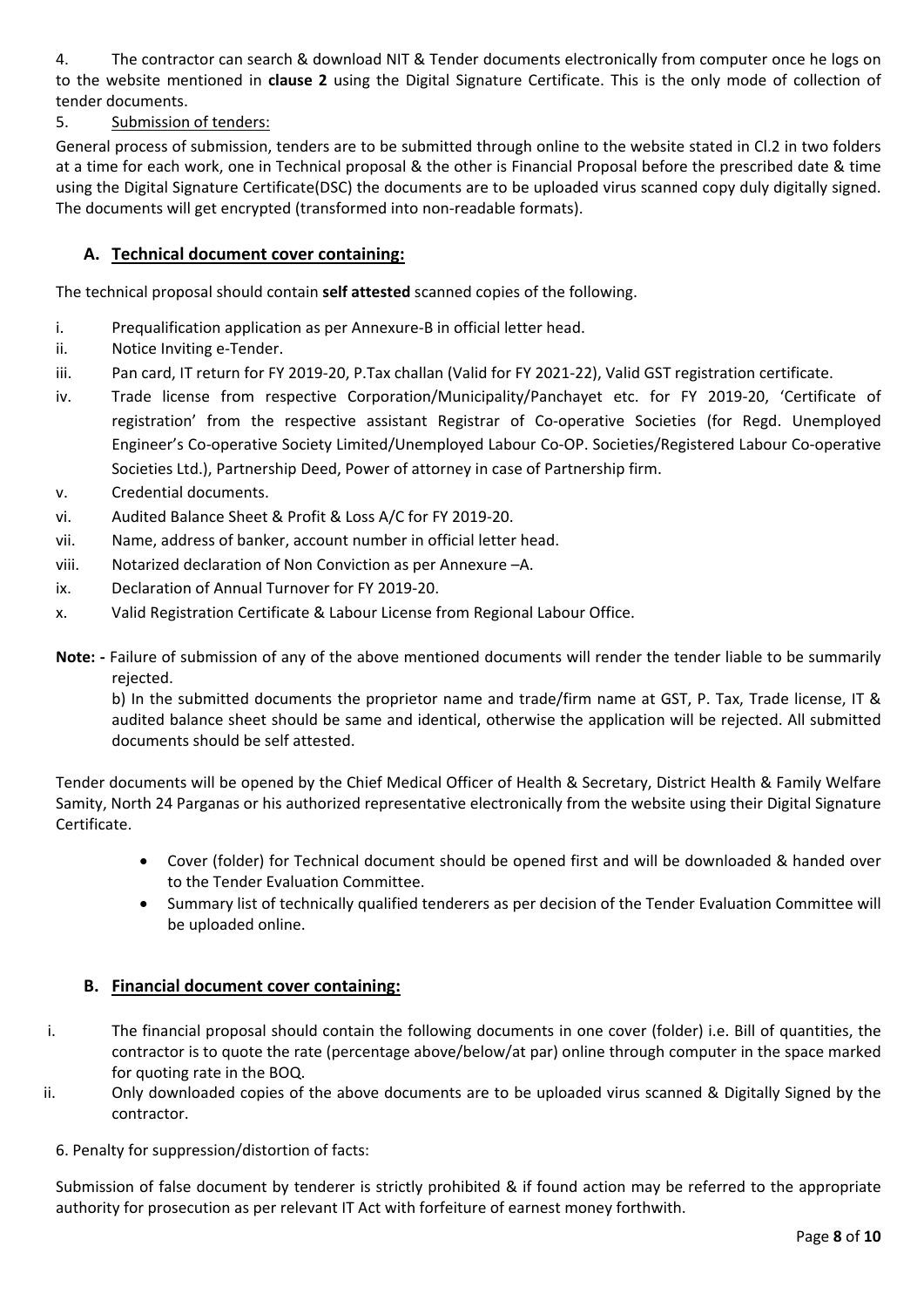4. The contractor can search & download NIT & Tender documents electronically from computer once he logs on to the website mentioned in **clause 2** using the Digital Signature Certificate. This is the only mode of collection of tender documents.

#### 5. Submission of tenders:

General process of submission, tenders are to be submitted through online to the website stated in Cl.2 in two folders at a time for each work, one in Technical proposal & the other is Financial Proposal before the prescribed date & time using the Digital Signature Certificate(DSC) the documents are to be uploaded virus scanned copy duly digitally signed. The documents will get encrypted (transformed into non-readable formats).

#### **A. Technical document cover containing:**

The technical proposal should contain **self attested** scanned copies of the following.

- i. Prequalification application as per Annexure‐B in official letter head.
- ii. Notice Inviting e-Tender.
- iii. Pan card, IT return for FY 2019‐20, P.Tax challan (Valid for FY 2021‐22), Valid GST registration certificate.
- iv. Trade license from respective Corporation/Municipality/Panchayet etc. for FY 2019-20, 'Certificate of registration' from the respective assistant Registrar of Co-operative Societies (for Regd. Unemployed Engineer's Co‐operative Society Limited/Unemployed Labour Co‐OP. Societies/Registered Labour Co‐operative Societies Ltd.), Partnership Deed, Power of attorney in case of Partnership firm.
- v. Credential documents.
- vi. Audited Balance Sheet & Profit & Loss A/C for FY 2019‐20.
- vii. Name, address of banker, account number in official letter head.
- viii. Notarized declaration of Non Conviction as per Annexure –A.
- ix. Declaration of Annual Turnover for FY 2019‐20.
- x. Valid Registration Certificate & Labour License from Regional Labour Office.
- **Note: ‐** Failure of submission of any of the above mentioned documents will render the tender liable to be summarily rejected.

b) In the submitted documents the proprietor name and trade/firm name at GST, P. Tax, Trade license, IT & audited balance sheet should be same and identical, otherwise the application will be rejected. All submitted documents should be self attested.

Tender documents will be opened by the Chief Medical Officer of Health & Secretary, District Health & Family Welfare Samity, North 24 Parganas or his authorized representative electronically from the website using their Digital Signature Certificate.

- Cover (folder) for Technical document should be opened first and will be downloaded & handed over to the Tender Evaluation Committee.
- Summary list of technically qualified tenderers as per decision of the Tender Evaluation Committee will be uploaded online.

#### **B. Financial document cover containing:**

- i. The financial proposal should contain the following documents in one cover (folder) i.e. Bill of quantities, the contractor is to quote the rate (percentage above/below/at par) online through computer in the space marked for quoting rate in the BOQ.
- ii. Only downloaded copies of the above documents are to be uploaded virus scanned & Digitally Signed by the contractor.
	- 6. Penalty for suppression/distortion of facts:

Submission of false document by tenderer is strictly prohibited & if found action may be referred to the appropriate authority for prosecution as per relevant IT Act with forfeiture of earnest money forthwith.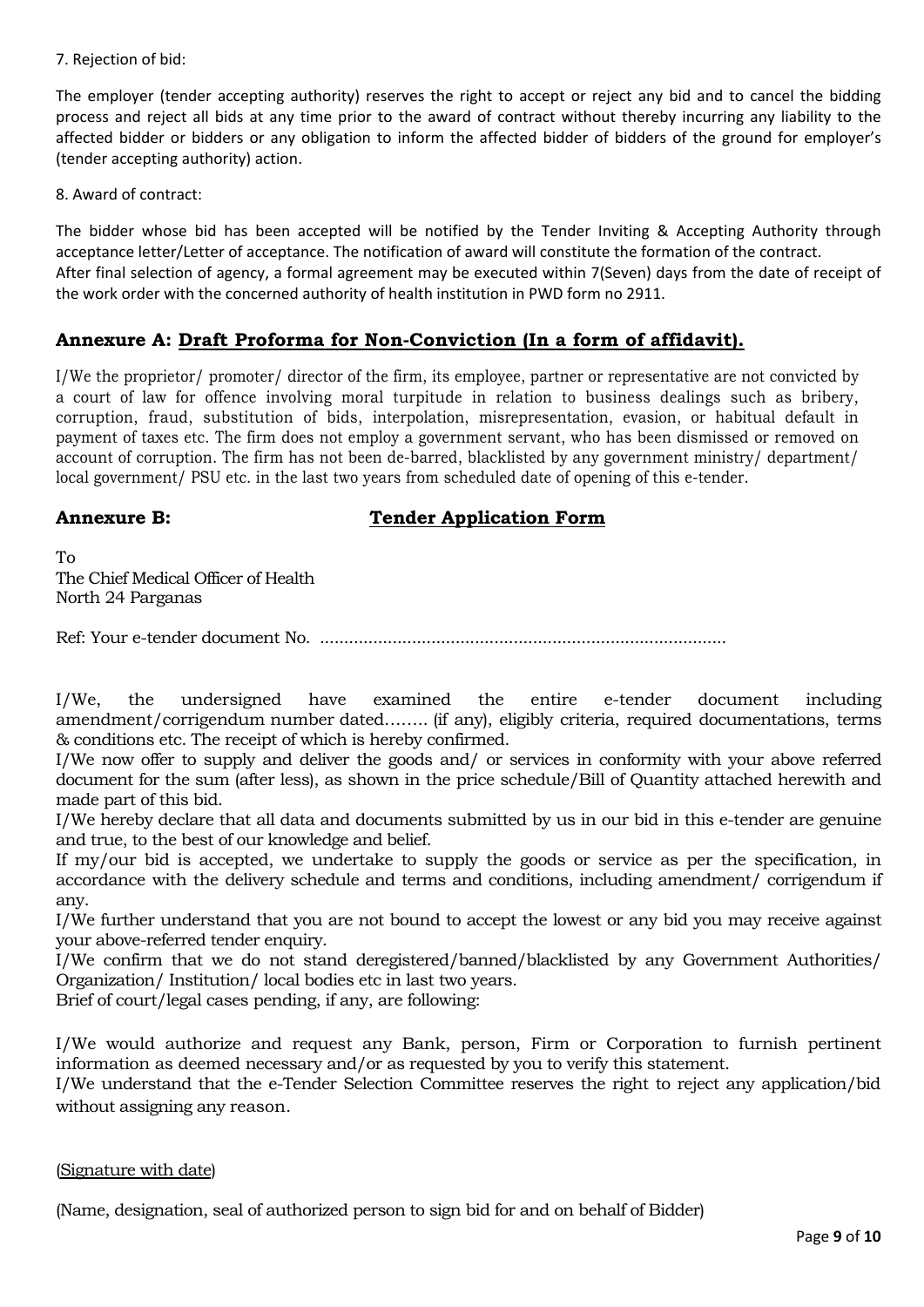7. Rejection of bid:

The employer (tender accepting authority) reserves the right to accept or reject any bid and to cancel the bidding process and reject all bids at any time prior to the award of contract without thereby incurring any liability to the affected bidder or bidders or any obligation to inform the affected bidder of bidders of the ground for employer's (tender accepting authority) action.

8. Award of contract:

The bidder whose bid has been accepted will be notified by the Tender Inviting & Accepting Authority through acceptance letter/Letter of acceptance. The notification of award will constitute the formation of the contract. After final selection of agency, a formal agreement may be executed within 7(Seven) days from the date of receipt of the work order with the concerned authority of health institution in PWD form no 2911.

#### **Annexure A: Draft Proforma for Non-Conviction (In a form of affidavit).**

I/We the proprietor/ promoter/ director of the firm, its employee, partner or representative are not convicted by a court of law for offence involving moral turpitude in relation to business dealings such as bribery, corruption, fraud, substitution of bids, interpolation, misrepresentation, evasion, or habitual default in payment of taxes etc. The firm does not employ a government servant, who has been dismissed or removed on account of corruption. The firm has not been de-barred, blacklisted by any government ministry/ department/ local government/ PSU etc. in the last two years from scheduled date of opening of this e-tender.

#### **Annexure B:** Tender Application Form

To The Chief Medical Officer of Health North 24 Parganas

Ref: Your e-tender document No. ....................................................................................

I/We, the undersigned have examined the entire e-tender document including amendment/corrigendum number dated…….. (if any), eligibly criteria, required documentations, terms & conditions etc. The receipt of which is hereby confirmed.

I/We now offer to supply and deliver the goods and/ or services in conformity with your above referred document for the sum (after less), as shown in the price schedule/Bill of Quantity attached herewith and made part of this bid.

I/We hereby declare that all data and documents submitted by us in our bid in this e-tender are genuine and true, to the best of our knowledge and belief.

If my/our bid is accepted, we undertake to supply the goods or service as per the specification, in accordance with the delivery schedule and terms and conditions, including amendment/ corrigendum if any.

I/We further understand that you are not bound to accept the lowest or any bid you may receive against your above-referred tender enquiry.

I/We confirm that we do not stand deregistered/banned/blacklisted by any Government Authorities/ Organization/ Institution/ local bodies etc in last two years.

Brief of court/legal cases pending, if any, are following:

I/We would authorize and request any Bank, person, Firm or Corporation to furnish pertinent information as deemed necessary and/or as requested by you to verify this statement.

I/We understand that the e-Tender Selection Committee reserves the right to reject any application/bid without assigning any reason.

#### (Signature with date)

(Name, designation, seal of authorized person to sign bid for and on behalf of Bidder)